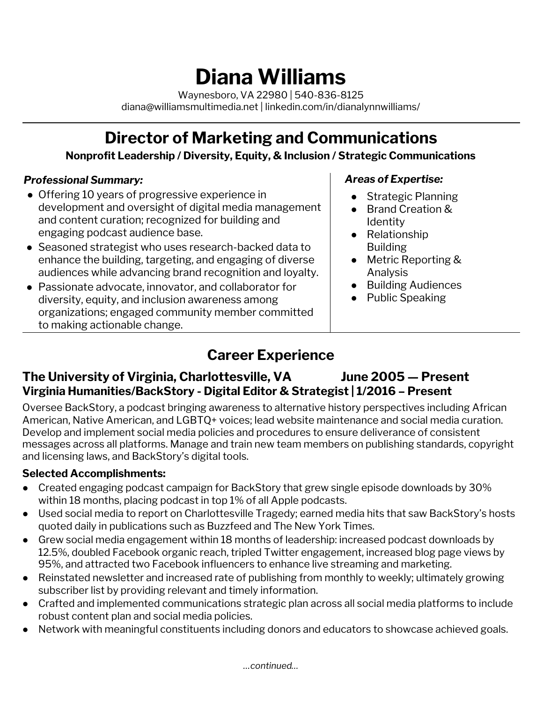# **Diana Williams**

Waynesboro, VA 22980 | 540-836-8125 diana@williamsmultimedia.net | linkedin.com/in/dianalynnwilliams/

# **Director of Marketing and Communications**

**Nonprofit Leadership / Diversity, Equity, & Inclusion / Strategic Communications**

#### *Professional Summary:*

- Offering 10 years of progressive experience in development and oversight of digital media management and content curation; recognized for building and engaging podcast audience base.
- Seasoned strategist who uses research-backed data to enhance the building, targeting, and engaging of diverse audiences while advancing brand recognition and loyalty.
- Passionate advocate, innovator, and collaborator for diversity, equity, and inclusion awareness among organizations; engaged community member committed to making actionable change.

#### *Areas of Expertise:*

- Strategic Planning
- Brand Creation & **Identity**
- Relationship Building
- Metric Reporting & Analysis
- Building Audiences
- Public Speaking

# **Career Experience**

#### **The University of Virginia, Charlottesville, VA June 2005 — Present Virginia Humanities/BackStory - Digital Editor & Strategist | 1/2016 – Present**

Oversee BackStory, a podcast bringing awareness to alternative history perspectives including African American, Native American, and LGBTQ+ voices; lead website maintenance and social media curation. Develop and implement social media policies and procedures to ensure deliverance of consistent messages across all platforms. Manage and train new team members on publishing standards, copyright and licensing laws, and BackStory's digital tools.

#### **Selected Accomplishments:**

- Created engaging podcast campaign for BackStory that grew single episode downloads by 30% within 18 months, placing podcast in top 1% of all Apple podcasts.
- Used social media to report on Charlottesville Tragedy; earned media hits that saw BackStory's hosts quoted daily in publications such as Buzzfeed and The New York Times.
- Grew social media engagement within 18 months of leadership: increased podcast downloads by 12.5%, doubled Facebook organic reach, tripled Twitter engagement, increased blog page views by 95%, and attracted two Facebook influencers to enhance live streaming and marketing.
- Reinstated newsletter and increased rate of publishing from monthly to weekly; ultimately growing subscriber list by providing relevant and timely information.
- Crafted and implemented communications strategic plan across all social media platforms to include robust content plan and social media policies.
- Network with meaningful constituents including donors and educators to showcase achieved goals.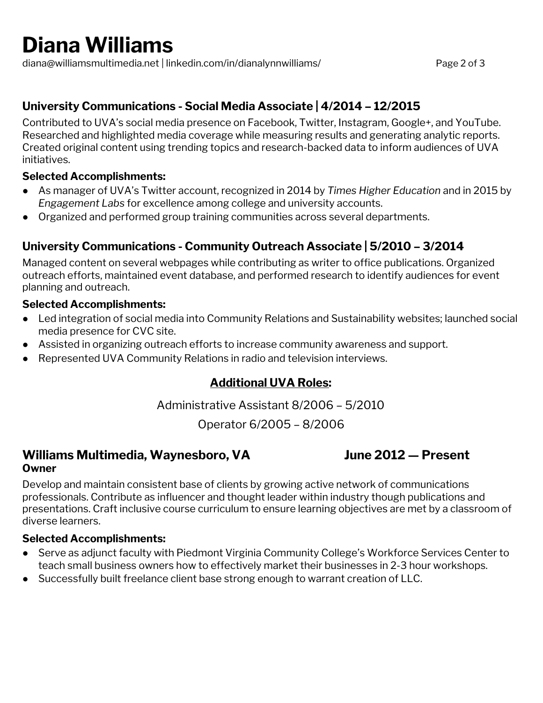# **Diana Williams**

diana@williamsmultimedia.net | linkedin.com/in/dianalynnwilliams/ Page 2 of 3

#### **University Communications - Social Media Associate | 4/2014 – 12/2015**

Contributed to UVA's social media presence on Facebook, Twitter, Instagram, Google+, and YouTube. Researched and highlighted media coverage while measuring results and generating analytic reports. Created original content using trending topics and research-backed data to inform audiences of UVA initiatives.

#### **Selected Accomplishments:**

- As manager of UVA's Twitter account, recognized in 2014 by *Times Higher Education* and in 2015 by *Engagement Labs* for excellence among college and university accounts.
- Organized and performed group training communities across several departments.

#### **University Communications - Community Outreach Associate | 5/2010 – 3/2014**

Managed content on several webpages while contributing as writer to office publications. Organized outreach efforts, maintained event database, and performed research to identify audiences for event planning and outreach.

#### **Selected Accomplishments:**

- Led integration of social media into Community Relations and Sustainability websites; launched social media presence for CVC site.
- Assisted in organizing outreach efforts to increase community awareness and support.
- Represented UVA Community Relations in radio and television interviews.

#### **Additional UVA Roles:**

Administrative Assistant 8/2006 – 5/2010

Operator 6/2005 – 8/2006

#### **Williams Multimedia, Waynesboro, VA June 2012 — Present Owner**

Develop and maintain consistent base of clients by growing active network of communications professionals. Contribute as influencer and thought leader within industry though publications and presentations. Craft inclusive course curriculum to ensure learning objectives are met by a classroom of diverse learners.

#### **Selected Accomplishments:**

- Serve as adjunct faculty with Piedmont Virginia Community College's Workforce Services Center to teach small business owners how to effectively market their businesses in 2-3 hour workshops.
- Successfully built freelance client base strong enough to warrant creation of LLC.